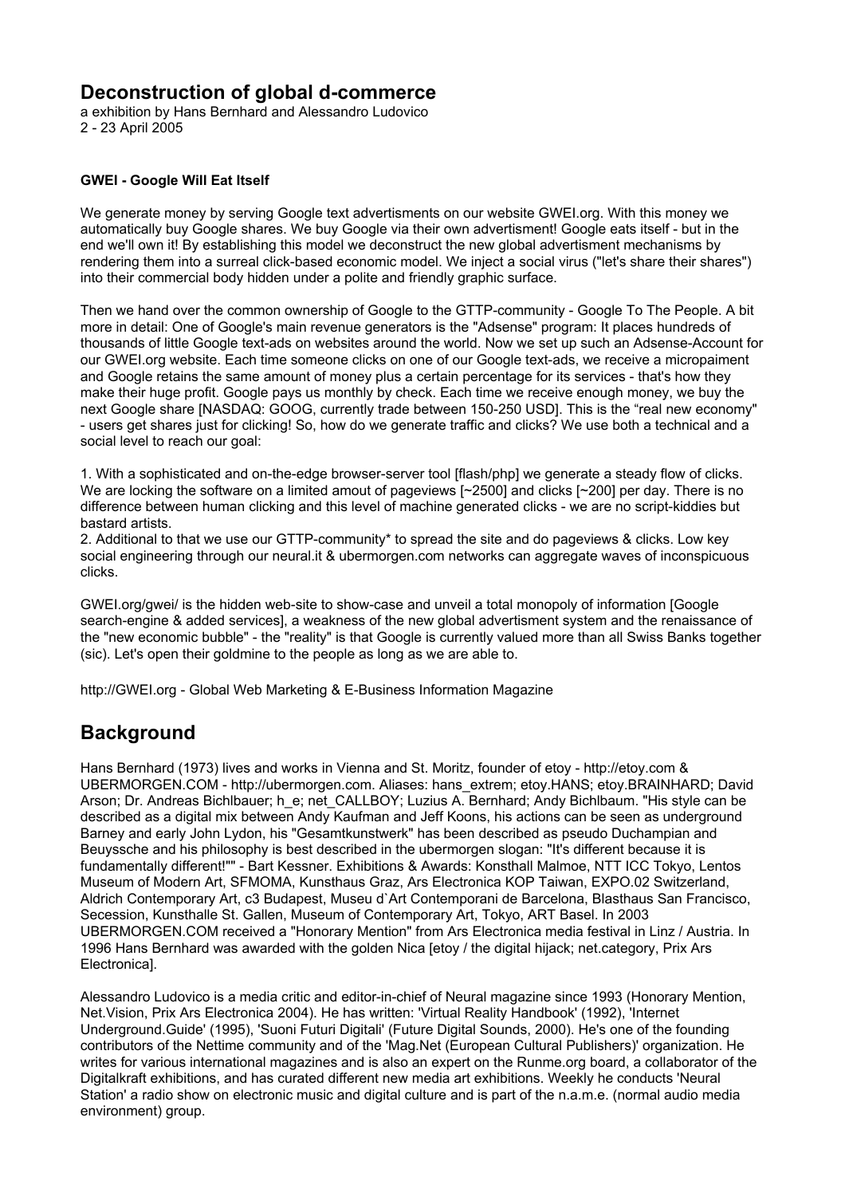## **Deconstruction of global d-commerce**

a exhibition by Hans Bernhard and Alessandro Ludovico 2 - 23 April 2005

## **GWEI - Google Will Eat Itself**

We generate money by serving Google text advertisments on our website GWEI.org. With this money we automatically buy Google shares. We buy Google via their own advertisment! Google eats itself - but in the end we'll own it! By establishing this model we deconstruct the new global advertisment mechanisms by rendering them into a surreal click-based economic model. We inject a social virus ("let's share their shares") into their commercial body hidden under a polite and friendly graphic surface.

Then we hand over the common ownership of Google to the GTTP-community - Google To The People. A bit more in detail: One of Google's main revenue generators is the "Adsense" program: It places hundreds of thousands of little Google text-ads on websites around the world. Now we set up such an Adsense-Account for our GWEI.org website. Each time someone clicks on one of our Google text-ads, we receive a micropaiment and Google retains the same amount of money plus a certain percentage for its services - that's how they make their huge profit. Google pays us monthly by check. Each time we receive enough money, we buy the next Google share [NASDAQ: GOOG, currently trade between 150-250 USD]. This is the "real new economy" - users get shares just for clicking! So, how do we generate traffic and clicks? We use both a technical and a social level to reach our goal:

1. With a sophisticated and on-the-edge browser-server tool [flash/php] we generate a steady flow of clicks. We are locking the software on a limited amout of pageviews [~2500] and clicks [~200] per day. There is no difference between human clicking and this level of machine generated clicks - we are no script-kiddies but bastard artists.

2. Additional to that we use our GTTP-community\* to spread the site and do pageviews & clicks. Low key social engineering through our neural.it & ubermorgen.com networks can aggregate waves of inconspicuous clicks.

GWEI.org/gwei/ is the hidden web-site to show-case and unveil a total monopoly of information [Google search-engine & added services], a weakness of the new global advertisment system and the renaissance of the "new economic bubble" - the "reality" is that Google is currently valued more than all Swiss Banks together (sic). Let's open their goldmine to the people as long as we are able to.

http://GWEI.org - Global Web Marketing & E-Business Information Magazine

## **Background**

Hans Bernhard (1973) lives and works in Vienna and St. Moritz, founder of etoy - http://etoy.com & UBERMORGEN.COM - http://ubermorgen.com. Aliases: hans\_extrem; etoy.HANS; etoy.BRAINHARD; David Arson; Dr. Andreas Bichlbauer; h e; net CALLBOY; Luzius A. Bernhard; Andy Bichlbaum. "His style can be described as a digital mix between Andy Kaufman and Jeff Koons, his actions can be seen as underground Barney and early John Lydon, his "Gesamtkunstwerk" has been described as pseudo Duchampian and Beuyssche and his philosophy is best described in the ubermorgen slogan: "It's different because it is fundamentally different!"" - Bart Kessner. Exhibitions & Awards: Konsthall Malmoe, NTT ICC Tokyo, Lentos Museum of Modern Art, SFMOMA, Kunsthaus Graz, Ars Electronica KOP Taiwan, EXPO.02 Switzerland, Aldrich Contemporary Art, c3 Budapest, Museu d`Art Contemporani de Barcelona, Blasthaus San Francisco, Secession, Kunsthalle St. Gallen, Museum of Contemporary Art, Tokyo, ART Basel. In 2003 UBERMORGEN.COM received a "Honorary Mention" from Ars Electronica media festival in Linz / Austria. In 1996 Hans Bernhard was awarded with the golden Nica [etoy / the digital hijack; net.category, Prix Ars Electronica].

Alessandro Ludovico is a media critic and editor-in-chief of Neural magazine since 1993 (Honorary Mention, Net.Vision, Prix Ars Electronica 2004). He has written: 'Virtual Reality Handbook' (1992), 'Internet Underground.Guide' (1995), 'Suoni Futuri Digitali' (Future Digital Sounds, 2000). He's one of the founding contributors of the Nettime community and of the 'Mag.Net (European Cultural Publishers)' organization. He writes for various international magazines and is also an expert on the Runme.org board, a collaborator of the Digitalkraft exhibitions, and has curated different new media art exhibitions. Weekly he conducts 'Neural Station' a radio show on electronic music and digital culture and is part of the n.a.m.e. (normal audio media environment) group.